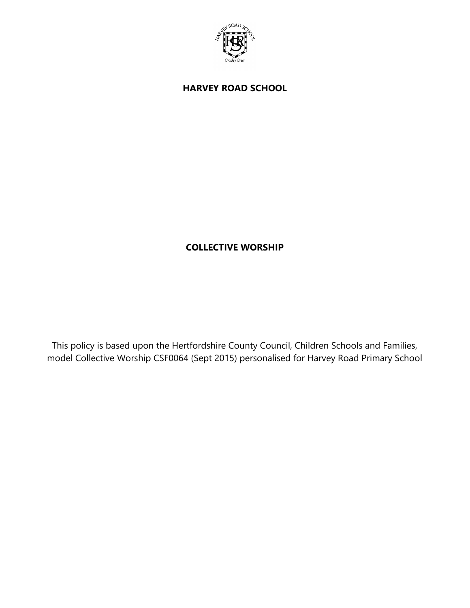

**HARVEY ROAD SCHOOL**

# **COLLECTIVE WORSHIP**

This policy is based upon the Hertfordshire County Council, Children Schools and Families, model Collective Worship CSF0064 (Sept 2015) personalised for Harvey Road Primary School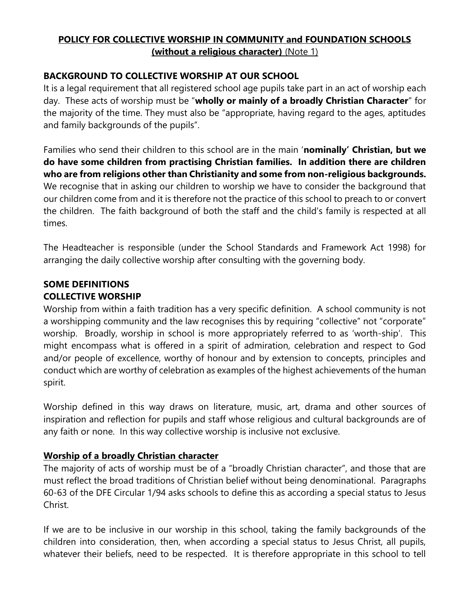# **POLICY FOR COLLECTIVE WORSHIP IN COMMUNITY and FOUNDATION SCHOOLS (without a religious character)** (Note 1)

# **BACKGROUND TO COLLECTIVE WORSHIP AT OUR SCHOOL**

It is a legal requirement that all registered school age pupils take part in an act of worship each day. These acts of worship must be "**wholly or mainly of a broadly Christian Character**" for the majority of the time. They must also be "appropriate, having regard to the ages, aptitudes and family backgrounds of the pupils".

Families who send their children to this school are in the main '**nominally' Christian, but we do have some children from practising Christian families. In addition there are children who are from religions other than Christianity and some from non-religious backgrounds.**  We recognise that in asking our children to worship we have to consider the background that our children come from and it is therefore not the practice of this school to preach to or convert the children. The faith background of both the staff and the child's family is respected at all times.

The Headteacher is responsible (under the School Standards and Framework Act 1998) for arranging the daily collective worship after consulting with the governing body.

# **SOME DEFINITIONS COLLECTIVE WORSHIP**

Worship from within a faith tradition has a very specific definition. A school community is not a worshipping community and the law recognises this by requiring "collective" not "corporate" worship. Broadly, worship in school is more appropriately referred to as 'worth-ship'. This might encompass what is offered in a spirit of admiration, celebration and respect to God and/or people of excellence, worthy of honour and by extension to concepts, principles and conduct which are worthy of celebration as examples of the highest achievements of the human spirit.

Worship defined in this way draws on literature, music, art, drama and other sources of inspiration and reflection for pupils and staff whose religious and cultural backgrounds are of any faith or none. In this way collective worship is inclusive not exclusive.

# **Worship of a broadly Christian character**

The majority of acts of worship must be of a "broadly Christian character", and those that are must reflect the broad traditions of Christian belief without being denominational. Paragraphs 60-63 of the DFE Circular 1/94 asks schools to define this as according a special status to Jesus Christ.

If we are to be inclusive in our worship in this school, taking the family backgrounds of the children into consideration, then, when according a special status to Jesus Christ, all pupils, whatever their beliefs, need to be respected. It is therefore appropriate in this school to tell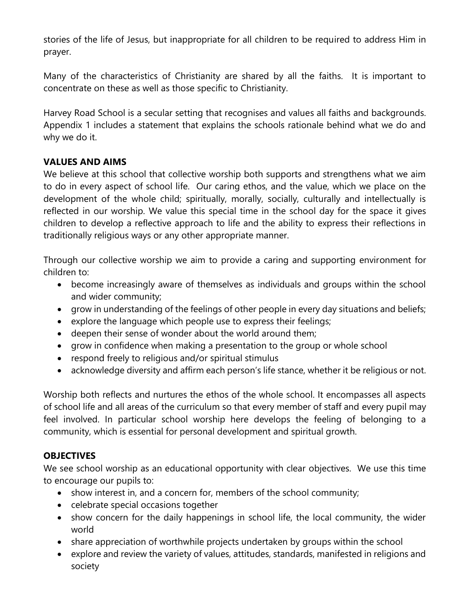stories of the life of Jesus, but inappropriate for all children to be required to address Him in prayer.

Many of the characteristics of Christianity are shared by all the faiths. It is important to concentrate on these as well as those specific to Christianity.

Harvey Road School is a secular setting that recognises and values all faiths and backgrounds. Appendix 1 includes a statement that explains the schools rationale behind what we do and why we do it.

## **VALUES AND AIMS**

We believe at this school that collective worship both supports and strengthens what we aim to do in every aspect of school life. Our caring ethos, and the value, which we place on the development of the whole child; spiritually, morally, socially, culturally and intellectually is reflected in our worship. We value this special time in the school day for the space it gives children to develop a reflective approach to life and the ability to express their reflections in traditionally religious ways or any other appropriate manner.

Through our collective worship we aim to provide a caring and supporting environment for children to:

- become increasingly aware of themselves as individuals and groups within the school and wider community;
- grow in understanding of the feelings of other people in every day situations and beliefs;
- explore the language which people use to express their feelings;
- deepen their sense of wonder about the world around them;
- grow in confidence when making a presentation to the group or whole school
- respond freely to religious and/or spiritual stimulus
- acknowledge diversity and affirm each person's life stance, whether it be religious or not.

Worship both reflects and nurtures the ethos of the whole school. It encompasses all aspects of school life and all areas of the curriculum so that every member of staff and every pupil may feel involved. In particular school worship here develops the feeling of belonging to a community, which is essential for personal development and spiritual growth.

#### **OBJECTIVES**

We see school worship as an educational opportunity with clear objectives. We use this time to encourage our pupils to:

- show interest in, and a concern for, members of the school community;
- celebrate special occasions together
- show concern for the daily happenings in school life, the local community, the wider world
- share appreciation of worthwhile projects undertaken by groups within the school
- explore and review the variety of values, attitudes, standards, manifested in religions and society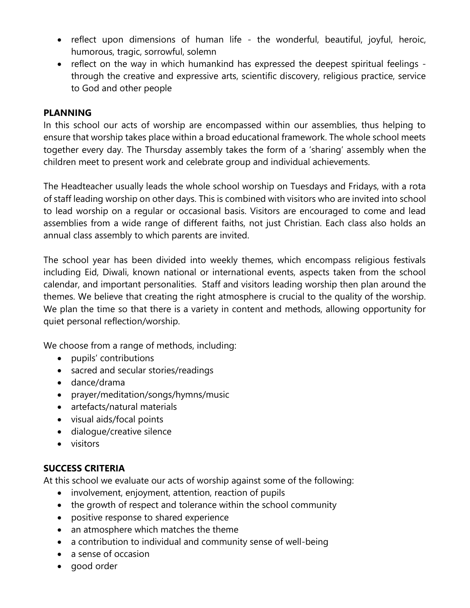- reflect upon dimensions of human life the wonderful, beautiful, joyful, heroic, humorous, tragic, sorrowful, solemn
- reflect on the way in which humankind has expressed the deepest spiritual feelings through the creative and expressive arts, scientific discovery, religious practice, service to God and other people

### **PLANNING**

In this school our acts of worship are encompassed within our assemblies, thus helping to ensure that worship takes place within a broad educational framework. The whole school meets together every day. The Thursday assembly takes the form of a 'sharing' assembly when the children meet to present work and celebrate group and individual achievements.

The Headteacher usually leads the whole school worship on Tuesdays and Fridays, with a rota of staff leading worship on other days. This is combined with visitors who are invited into school to lead worship on a regular or occasional basis. Visitors are encouraged to come and lead assemblies from a wide range of different faiths, not just Christian. Each class also holds an annual class assembly to which parents are invited.

The school year has been divided into weekly themes, which encompass religious festivals including Eid, Diwali, known national or international events, aspects taken from the school calendar, and important personalities. Staff and visitors leading worship then plan around the themes. We believe that creating the right atmosphere is crucial to the quality of the worship. We plan the time so that there is a variety in content and methods, allowing opportunity for quiet personal reflection/worship.

We choose from a range of methods, including:

- pupils' contributions
- sacred and secular stories/readings
- dance/drama
- prayer/meditation/songs/hymns/music
- artefacts/natural materials
- visual aids/focal points
- dialogue/creative silence
- visitors

#### **SUCCESS CRITERIA**

At this school we evaluate our acts of worship against some of the following:

- involvement, enjoyment, attention, reaction of pupils
- the growth of respect and tolerance within the school community
- positive response to shared experience
- an atmosphere which matches the theme
- a contribution to individual and community sense of well-being
- a sense of occasion
- good order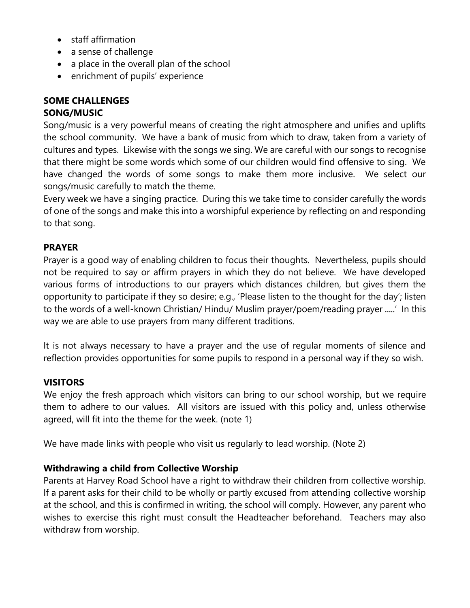- staff affirmation
- a sense of challenge
- a place in the overall plan of the school
- enrichment of pupils' experience

# **SOME CHALLENGES**

# **SONG/MUSIC**

Song/music is a very powerful means of creating the right atmosphere and unifies and uplifts the school community. We have a bank of music from which to draw, taken from a variety of cultures and types. Likewise with the songs we sing. We are careful with our songs to recognise that there might be some words which some of our children would find offensive to sing. We have changed the words of some songs to make them more inclusive. We select our songs/music carefully to match the theme.

Every week we have a singing practice. During this we take time to consider carefully the words of one of the songs and make this into a worshipful experience by reflecting on and responding to that song.

## **PRAYER**

Prayer is a good way of enabling children to focus their thoughts. Nevertheless, pupils should not be required to say or affirm prayers in which they do not believe. We have developed various forms of introductions to our prayers which distances children, but gives them the opportunity to participate if they so desire; e.g., 'Please listen to the thought for the day'; listen to the words of a well-known Christian/ Hindu/ Muslim prayer/poem/reading prayer .....' In this way we are able to use prayers from many different traditions.

It is not always necessary to have a prayer and the use of regular moments of silence and reflection provides opportunities for some pupils to respond in a personal way if they so wish.

# **VISITORS**

We enjoy the fresh approach which visitors can bring to our school worship, but we require them to adhere to our values. All visitors are issued with this policy and, unless otherwise agreed, will fit into the theme for the week. (note 1)

We have made links with people who visit us regularly to lead worship. (Note 2)

# **Withdrawing a child from Collective Worship**

Parents at Harvey Road School have a right to withdraw their children from collective worship. If a parent asks for their child to be wholly or partly excused from attending collective worship at the school, and this is confirmed in writing, the school will comply. However, any parent who wishes to exercise this right must consult the Headteacher beforehand. Teachers may also withdraw from worship.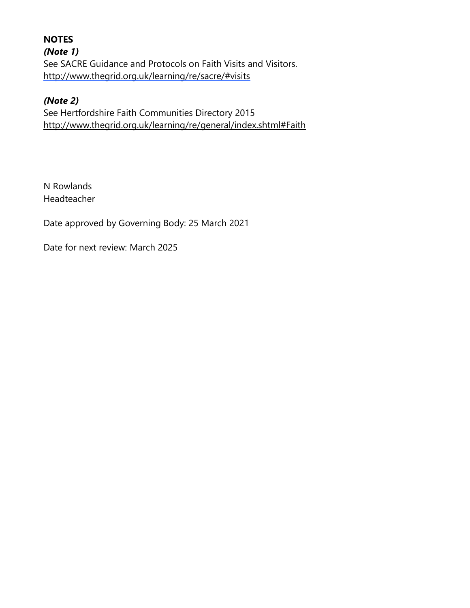**NOTES** *(Note 1)* See SACRE Guidance and Protocols on Faith Visits and Visitors. <http://www.thegrid.org.uk/learning/re/sacre/#visits>

# *(Note 2)*

See Hertfordshire Faith Communities Directory 2015 <http://www.thegrid.org.uk/learning/re/general/index.shtml#Faith>

N Rowlands Headteacher

Date approved by Governing Body: 25 March 2021

Date for next review: March 2025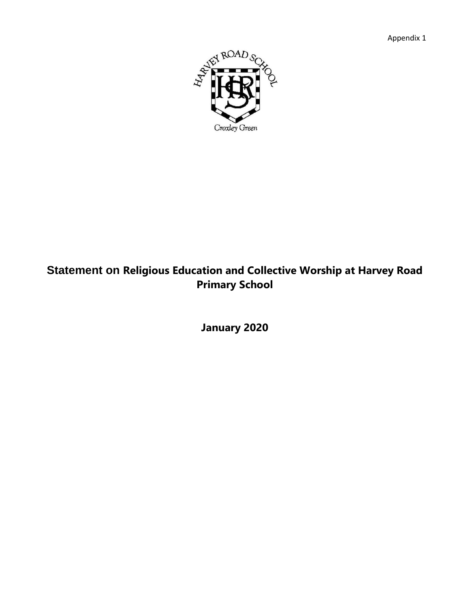Appendix 1



# **Statement on Religious Education and Collective Worship at Harvey Road Primary School**

**January 2020**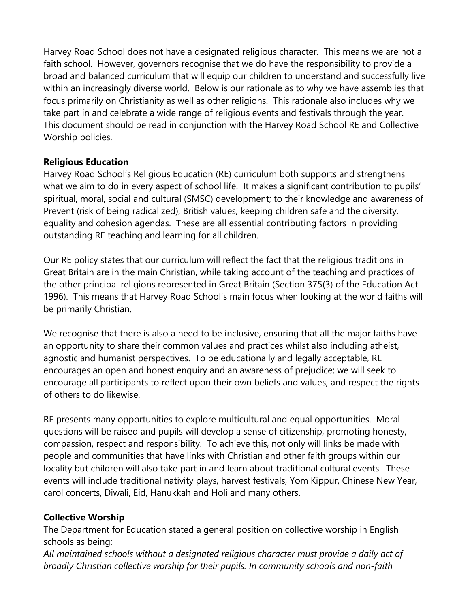Harvey Road School does not have a designated religious character. This means we are not a faith school. However, governors recognise that we do have the responsibility to provide a broad and balanced curriculum that will equip our children to understand and successfully live within an increasingly diverse world. Below is our rationale as to why we have assemblies that focus primarily on Christianity as well as other religions. This rationale also includes why we take part in and celebrate a wide range of religious events and festivals through the year. This document should be read in conjunction with the Harvey Road School RE and Collective Worship policies.

## **Religious Education**

Harvey Road School's Religious Education (RE) curriculum both supports and strengthens what we aim to do in every aspect of school life. It makes a significant contribution to pupils' spiritual, moral, social and cultural (SMSC) development; to their knowledge and awareness of Prevent (risk of being radicalized), British values, keeping children safe and the diversity, equality and cohesion agendas. These are all essential contributing factors in providing outstanding RE teaching and learning for all children.

Our RE policy states that our curriculum will reflect the fact that the religious traditions in Great Britain are in the main Christian, while taking account of the teaching and practices of the other principal religions represented in Great Britain (Section 375(3) of the Education Act 1996). This means that Harvey Road School's main focus when looking at the world faiths will be primarily Christian.

We recognise that there is also a need to be inclusive, ensuring that all the major faiths have an opportunity to share their common values and practices whilst also including atheist, agnostic and humanist perspectives. To be educationally and legally acceptable, RE encourages an open and honest enquiry and an awareness of prejudice; we will seek to encourage all participants to reflect upon their own beliefs and values, and respect the rights of others to do likewise.

RE presents many opportunities to explore multicultural and equal opportunities. Moral questions will be raised and pupils will develop a sense of citizenship, promoting honesty, compassion, respect and responsibility. To achieve this, not only will links be made with people and communities that have links with Christian and other faith groups within our locality but children will also take part in and learn about traditional cultural events. These events will include traditional nativity plays, harvest festivals, Yom Kippur, Chinese New Year, carol concerts, Diwali, Eid, Hanukkah and Holi and many others.

# **Collective Worship**

The Department for Education stated a general position on collective worship in English schools as being:

*All maintained schools without a designated religious character must provide a daily act of broadly Christian collective worship for their pupils. In community schools and non-faith*